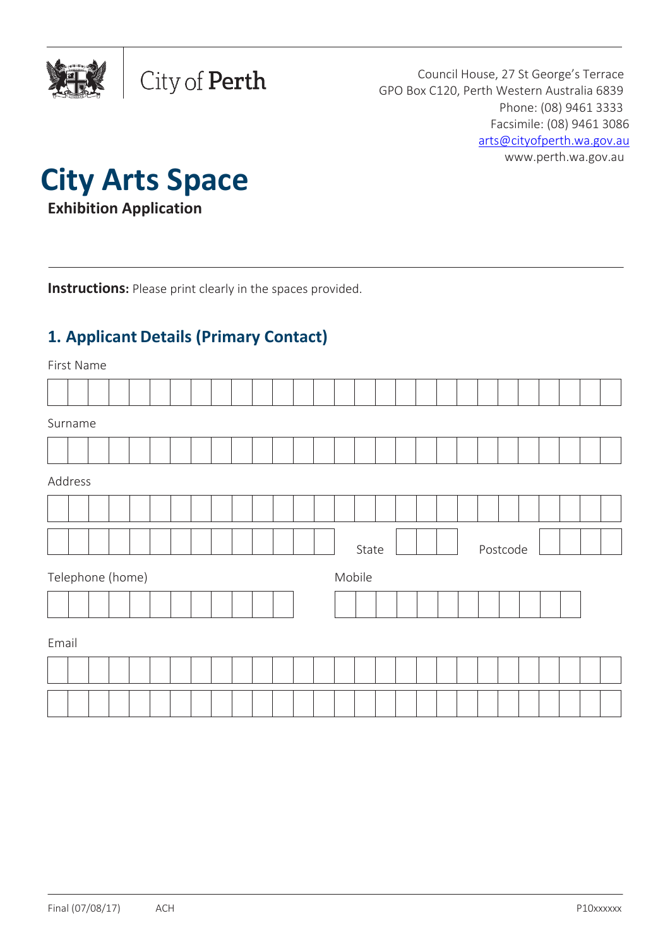

Council House, 27 St George's Terrace GPO Box C120, Perth Western Australia 6839 Phone: (08) 9461 3333 Facsimile: (08) 9461 3086 [arts@cityofperth.wa.gov.au](mailto:arts@cityofperth.wa.gov.au) [www.perth.wa.gov.au](http://www.perth.wa.gov.au/)



**Exhibition Application**

**Instructions:** Please print clearly in the spaces provided.

City of Perth

# **1. Applicant Details (Primary Contact)**

First Name

| Surname                    |  |  |  |  |  |  |  |  |  |  |  |  |       |  |  |          |  |  |  |
|----------------------------|--|--|--|--|--|--|--|--|--|--|--|--|-------|--|--|----------|--|--|--|
|                            |  |  |  |  |  |  |  |  |  |  |  |  |       |  |  |          |  |  |  |
| Address                    |  |  |  |  |  |  |  |  |  |  |  |  |       |  |  |          |  |  |  |
|                            |  |  |  |  |  |  |  |  |  |  |  |  |       |  |  |          |  |  |  |
|                            |  |  |  |  |  |  |  |  |  |  |  |  | State |  |  | Postcode |  |  |  |
| Telephone (home)<br>Mobile |  |  |  |  |  |  |  |  |  |  |  |  |       |  |  |          |  |  |  |
|                            |  |  |  |  |  |  |  |  |  |  |  |  |       |  |  |          |  |  |  |
| Email                      |  |  |  |  |  |  |  |  |  |  |  |  |       |  |  |          |  |  |  |
|                            |  |  |  |  |  |  |  |  |  |  |  |  |       |  |  |          |  |  |  |
|                            |  |  |  |  |  |  |  |  |  |  |  |  |       |  |  |          |  |  |  |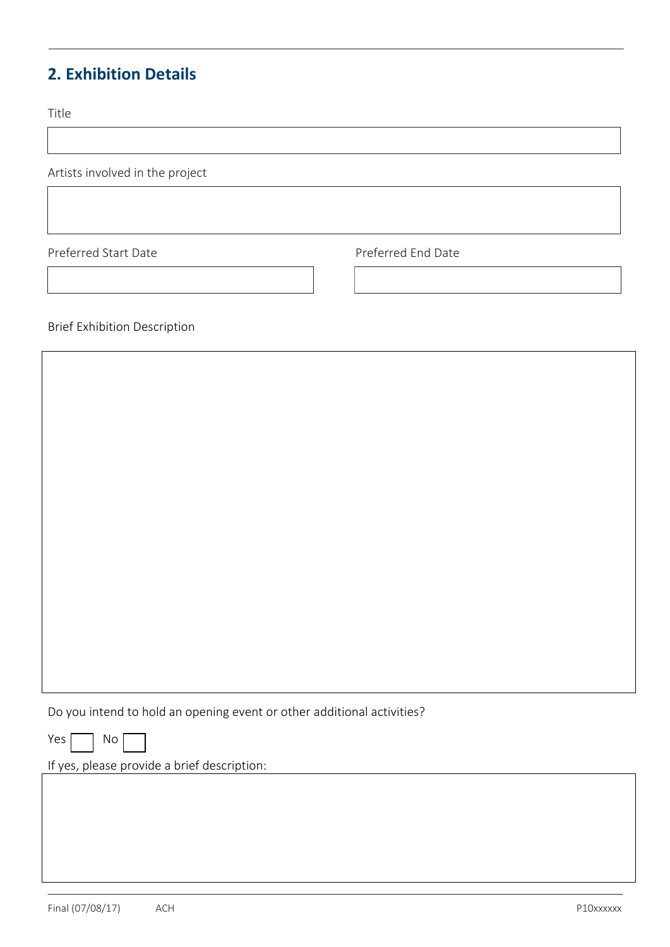# **2. Exhibition Details**

Title

Artists involved in the project

Preferred Start Date **Preferred End Date** 

Brief Exhibition Description

Do you intend to hold an opening event or other additional activities?

 $Yes \frown$  No

If yes, please provide a brief description: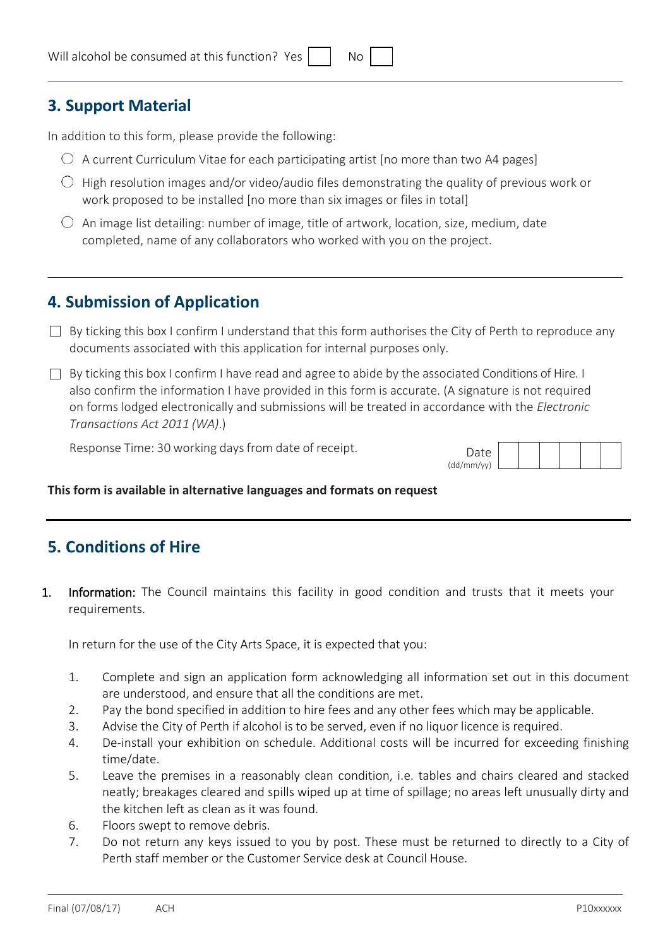## **3. Support Material**

In addition to this form, please provide the following:

- $\bigcirc$  A current Curriculum Vitae for each participating artist [no more than two A4 pages]
- $\bigcirc$  High resolution images and/or video/audio files demonstrating the quality of previous work or work proposed to be installed [no more than six images or files in total]
- $\circlearrowright$  An image list detailing: number of image, title of artwork, location, size, medium, date completed, name of any collaborators who worked with you on the project.

## **4. Submission of Application**

- $\Box$  By ticking this box I confirm I understand that this form authorises the City of Perth to reproduce any documents associated with this application for internal purposes only.
- By ticking this box I confirm I have read and agree to abide by the associated Conditions of Hire. I also confirm the information I have provided in this form is accurate. (A signature is not required on forms lodged electronically and submissions will be treated in accordance with the *Electronic Transactions Act 2011 (WA)*.)

Response Time: 30 working days from date of receipt.

| Date       |  |  |  |
|------------|--|--|--|
| (dd/mm/vv) |  |  |  |

#### **This form is available in alternative languages and formats on request**

## **5. Conditions of Hire**

1. Information: The Council maintains this facility in good condition and trusts that it meets your requirements.

In return for the use of the City Arts Space, it is expected that you:

- 1. Complete and sign an application form acknowledging all information set out in this document are understood, and ensure that all the conditions are met.
- 2. Pay the bond specified in addition to hire fees and any other fees which may be applicable.
- 3. Advise the City of Perth if alcohol is to be served, even if no liquor licence is required.
- 4. De-install your exhibition on schedule. Additional costs will be incurred for exceeding finishing time/date.
- 5. Leave the premises in a reasonably clean condition, i.e. tables and chairs cleared and stacked neatly; breakages cleared and spills wiped up at time of spillage; no areas left unusually dirty and the kitchen left as clean as it was found.
- 6. Floors swept to remove debris.
- 7. Do not return any keys issued to you by post. These must be returned to directly to a City of Perth staff member or the Customer Service desk at Council House.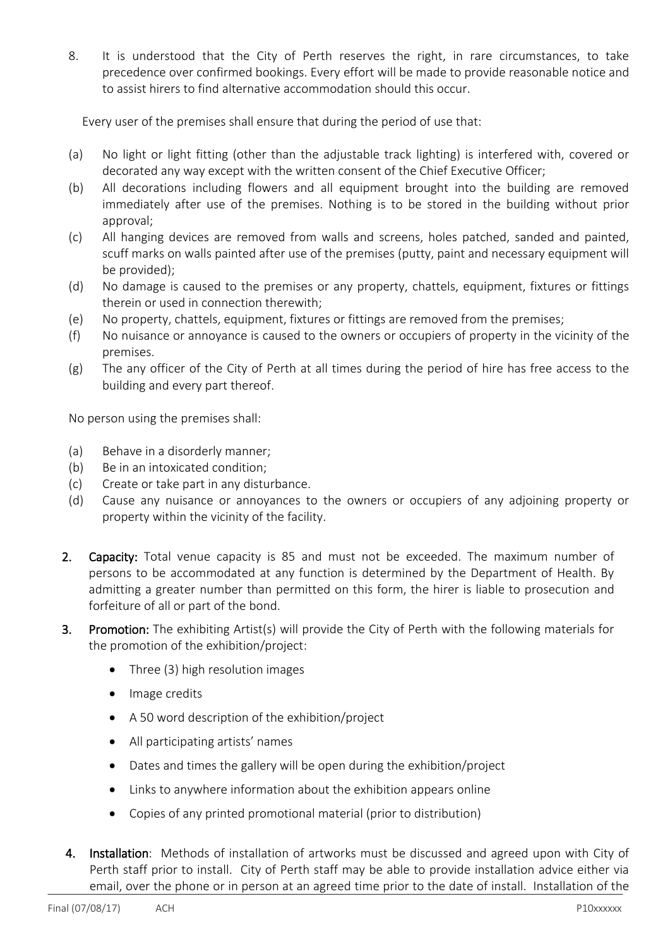8. It is understood that the City of Perth reserves the right, in rare circumstances, to take precedence over confirmed bookings. Every effort will be made to provide reasonable notice and to assist hirers to find alternative accommodation should this occur.

Every user of the premises shall ensure that during the period of use that:

- (a) No light or light fitting (other than the adjustable track lighting) is interfered with, covered or decorated any way except with the written consent of the Chief Executive Officer;
- (b) All decorations including flowers and all equipment brought into the building are removed immediately after use of the premises. Nothing is to be stored in the building without prior approval;
- (c) All hanging devices are removed from walls and screens, holes patched, sanded and painted, scuff marks on walls painted after use of the premises (putty, paint and necessary equipment will be provided);
- (d) No damage is caused to the premises or any property, chattels, equipment, fixtures or fittings therein or used in connection therewith;
- (e) No property, chattels, equipment, fixtures or fittings are removed from the premises;
- (f) No nuisance or annoyance is caused to the owners or occupiers of property in the vicinity of the premises.
- (g) The any officer of the City of Perth at all times during the period of hire has free access to the building and every part thereof.

No person using the premises shall:

- (a) Behave in a disorderly manner;
- (b) Be in an intoxicated condition;
- (c) Create or take part in any disturbance.
- (d) Cause any nuisance or annoyances to the owners or occupiers of any adjoining property or property within the vicinity of the facility.
- 2. Capacity: Total venue capacity is 85 and must not be exceeded. The maximum number of persons to be accommodated at any function is determined by the Department of Health. By admitting a greater number than permitted on this form, the hirer is liable to prosecution and forfeiture of all or part of the bond.
- 3. Promotion: The exhibiting Artist(s) will provide the City of Perth with the following materials for the promotion of the exhibition/project:
	- Three (3) high resolution images
	- Image credits
	- A 50 word description of the exhibition/project
	- All participating artists' names
	- Dates and times the gallery will be open during the exhibition/project
	- Links to anywhere information about the exhibition appears online
	- Copies of any printed promotional material (prior to distribution)
- 4. Installation: Methods of installation of artworks must be discussed and agreed upon with City of Perth staff prior to install. City of Perth staff may be able to provide installation advice either via email, over the phone or in person at an agreed time prior to the date of install. Installation of the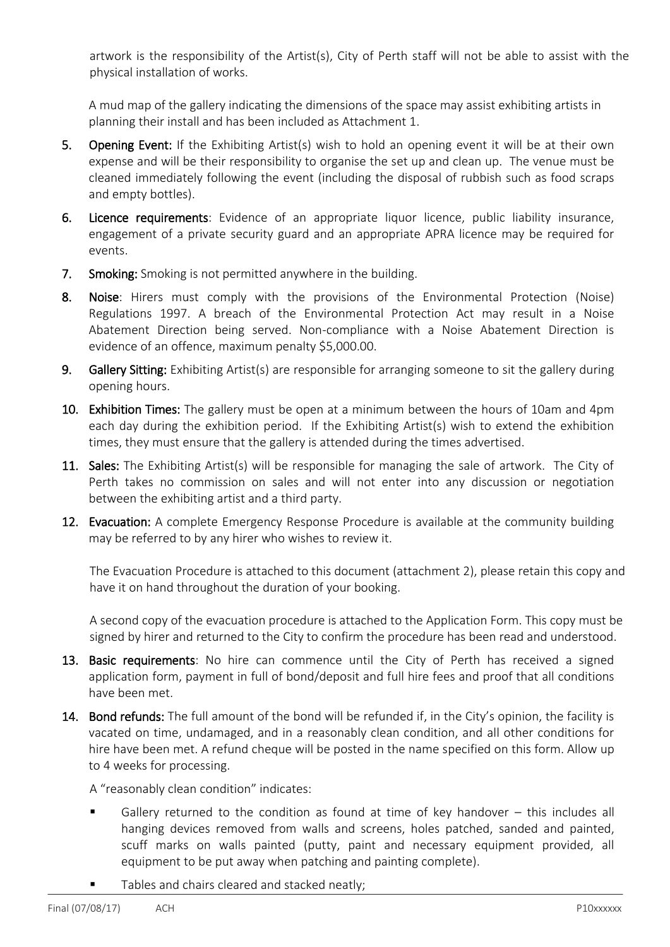artwork is the responsibility of the Artist(s), City of Perth staff will not be able to assist with the physical installation of works.

A mud map of the gallery indicating the dimensions of the space may assist exhibiting artists in planning their install and has been included as Attachment 1.

- 5. Opening Event: If the Exhibiting Artist(s) wish to hold an opening event it will be at their own expense and will be their responsibility to organise the set up and clean up. The venue must be cleaned immediately following the event (including the disposal of rubbish such as food scraps and empty bottles).
- 6. Licence requirements: Evidence of an appropriate liquor licence, public liability insurance, engagement of a private security guard and an appropriate APRA licence may be required for events.
- 7. Smoking: Smoking is not permitted anywhere in the building.
- 8. Noise: Hirers must comply with the provisions of the Environmental Protection (Noise) Regulations 1997. A breach of the Environmental Protection Act may result in a Noise Abatement Direction being served. Non-compliance with a Noise Abatement Direction is evidence of an offence, maximum penalty \$5,000.00.
- 9. Gallery Sitting: Exhibiting Artist(s) are responsible for arranging someone to sit the gallery during opening hours.
- 10. Exhibition Times: The gallery must be open at a minimum between the hours of 10am and 4pm each day during the exhibition period. If the Exhibiting Artist(s) wish to extend the exhibition times, they must ensure that the gallery is attended during the times advertised.
- 11. Sales: The Exhibiting Artist(s) will be responsible for managing the sale of artwork. The City of Perth takes no commission on sales and will not enter into any discussion or negotiation between the exhibiting artist and a third party.
- 12. Evacuation: A complete Emergency Response Procedure is available at the community building may be referred to by any hirer who wishes to review it.

The Evacuation Procedure is attached to this document (attachment 2), please retain this copy and have it on hand throughout the duration of your booking.

A second copy of the evacuation procedure is attached to the Application Form. This copy must be signed by hirer and returned to the City to confirm the procedure has been read and understood.

- 13. Basic requirements: No hire can commence until the City of Perth has received a signed application form, payment in full of bond/deposit and full hire fees and proof that all conditions have been met.
- 14. Bond refunds: The full amount of the bond will be refunded if, in the City's opinion, the facility is vacated on time, undamaged, and in a reasonably clean condition, and all other conditions for hire have been met. A refund cheque will be posted in the name specified on this form. Allow up to 4 weeks for processing.

A "reasonably clean condition" indicates:

- Gallery returned to the condition as found at time of key handover this includes all hanging devices removed from walls and screens, holes patched, sanded and painted, scuff marks on walls painted (putty, paint and necessary equipment provided, all equipment to be put away when patching and painting complete).
- Tables and chairs cleared and stacked neatly;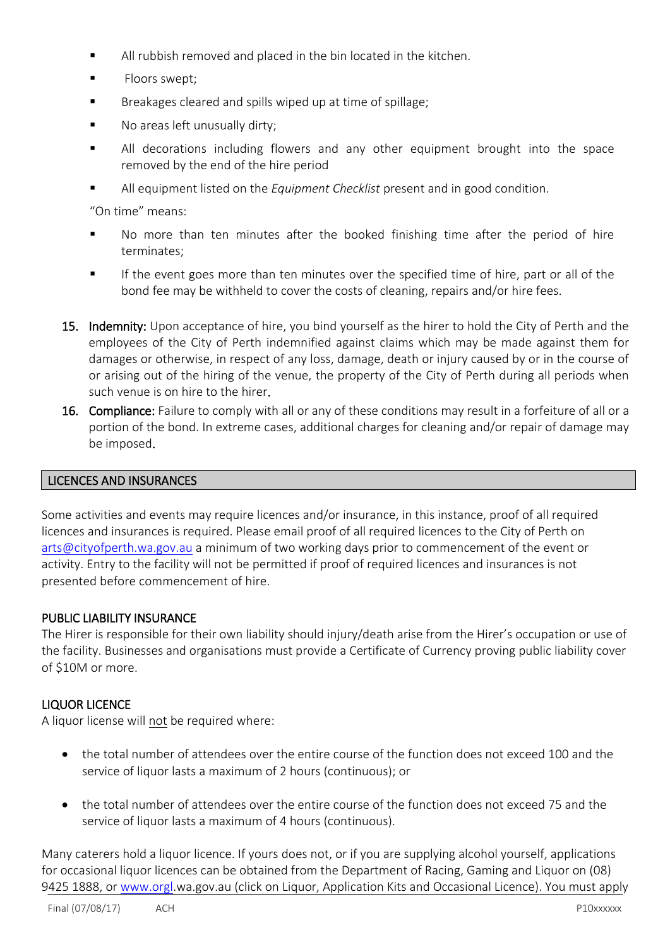- All rubbish removed and placed in the bin located in the kitchen.
- Floors swept;
- **Breakages cleared and spills wiped up at time of spillage;**
- **No areas left unusually dirty;**
- All decorations including flowers and any other equipment brought into the space removed by the end of the hire period
- All equipment listed on the *Equipment Checklist* present and in good condition.

"On time" means:

- No more than ten minutes after the booked finishing time after the period of hire terminates;
- If the event goes more than ten minutes over the specified time of hire, part or all of the bond fee may be withheld to cover the costs of cleaning, repairs and/or hire fees.
- 15. Indemnity: Upon acceptance of hire, you bind yourself as the hirer to hold the City of Perth and the employees of the City of Perth indemnified against claims which may be made against them for damages or otherwise, in respect of any loss, damage, death or injury caused by or in the course of or arising out of the hiring of the venue, the property of the City of Perth during all periods when such venue is on hire to the hirer.
- 16. Compliance: Failure to comply with all or any of these conditions may result in a forfeiture of all or a portion of the bond. In extreme cases, additional charges for cleaning and/or repair of damage may be imposed.

## LICENCES AND INSURANCES

Some activities and events may require licences and/or insurance, in this instance, proof of all required licences and insurances is required. Please email proof of all required licences to the City of Perth on [arts@cityofperth.wa.gov.au](mailto:arts@cityofperth.wa.gov.au) a minimum of two working days prior to commencement of the event or activity. Entry to the facility will not be permitted if proof of required licences and insurances is not presented before commencement of hire.

## PUBLIC LIABILITY INSURANCE

The Hirer is responsible for their own liability should injury/death arise from the Hirer's occupation or use of the facility. Businesses and organisations must provide a Certificate of Currency proving public liability cover of \$10M or more.

## LIQUOR LICENCE

A liquor license will not be required where:

- the total number of attendees over the entire course of the function does not exceed 100 and the service of liquor lasts a maximum of 2 hours (continuous); or
- the total number of attendees over the entire course of the function does not exceed 75 and the service of liquor lasts a maximum of 4 hours (continuous).

Many caterers hold a liquor licence. If yours does not, or if you are supplying alcohol yourself, applications for occasional liquor licences can be obtained from the Department of Racing, Gaming and Liquor on (08) 9425 1888, or [www.orgl.](http://www.orgl/)wa.gov.au (click on Liquor, Application Kits and Occasional Licence). You must apply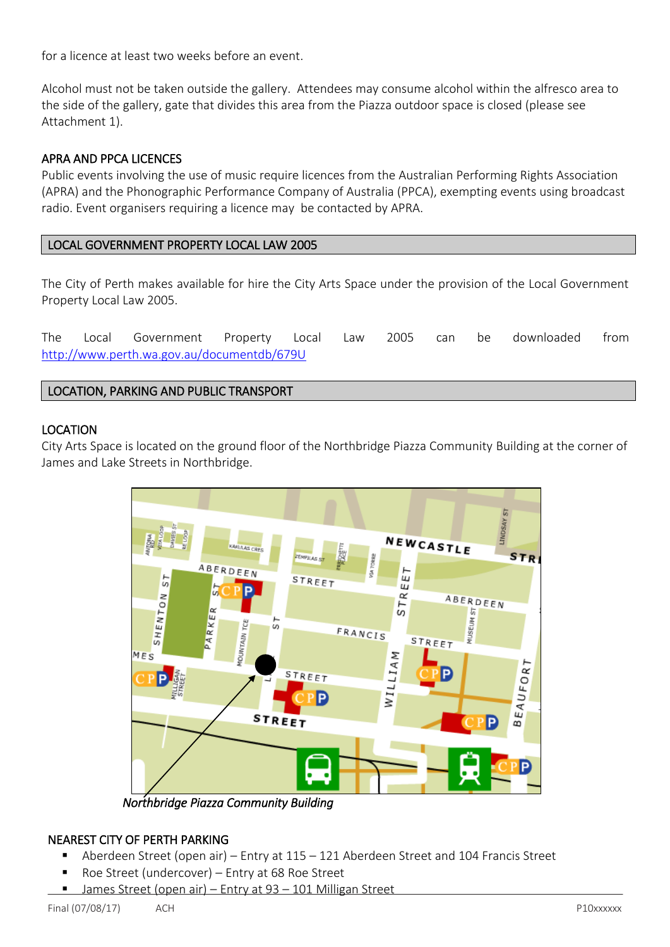for a licence at least two weeks before an event.

Alcohol must not be taken outside the gallery. Attendees may consume alcohol within the alfresco area to the side of the gallery, gate that divides this area from the Piazza outdoor space is closed (please see Attachment 1).

## APRA AND PPCA LICENCES

Public events involving the use of music require licences from the Australian Performing Rights Association (APRA) and the Phonographic Performance Company of Australia (PPCA), exempting events using broadcast radio. Event organisers requiring a licence may be contacted by APRA.

## LOCAL GOVERNMENT PROPERTY LOCAL LAW 2005

The City of Perth makes available for hire the City Arts Space under the provision of the Local Government Property Local Law 2005.

The Local Government Property Local Law 2005 can be downloaded from <http://www.perth.wa.gov.au/documentdb/679U>

## LOCATION, PARKING AND PUBLIC TRANSPORT

#### LOCATION

City Arts Space is located on the ground floor of the Northbridge Piazza Community Building at the corner of James and Lake Streets in Northbridge.



*Northbridge Piazza Community Building* 

## NEAREST CITY OF PERTH PARKING

- Aberdeen Street (open air) Entry at 115 121 Aberdeen Street and 104 Francis Street
- Roe Street (undercover) Entry at 68 Roe Street
- James Street (open air) Entry at 93 101 Milligan Street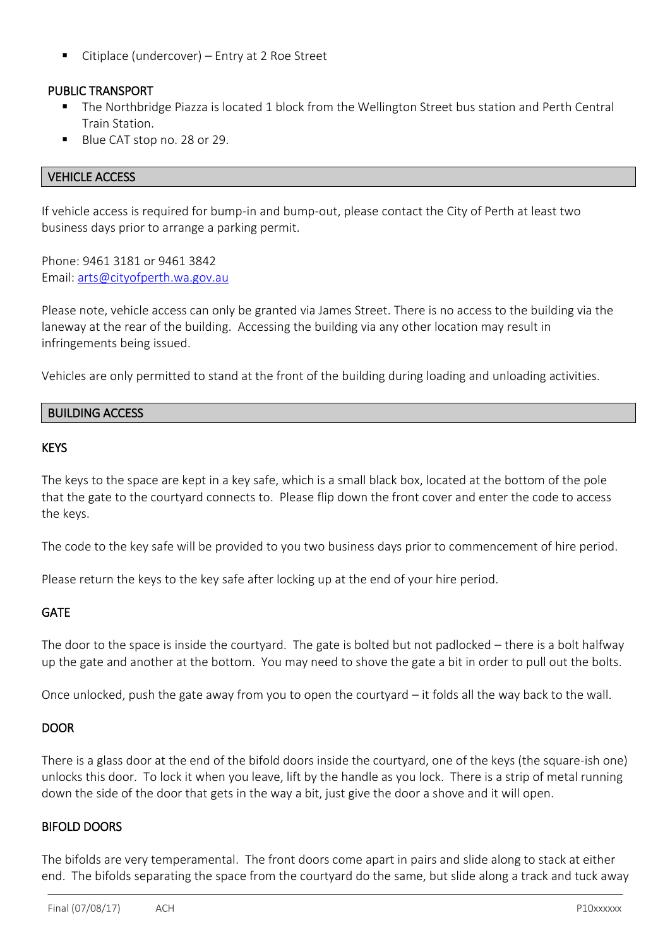Citiplace (undercover) – Entry at 2 Roe Street

## PUBLIC TRANSPORT

- The Northbridge Piazza is located 1 block from the Wellington Street bus station and Perth Central Train Station.
- Blue CAT stop no. 28 or 29.

## VEHICLE ACCESS

If vehicle access is required for bump-in and bump-out, please contact the City of Perth at least two business days prior to arrange a parking permit.

Phone: 9461 3181 or 9461 3842 Email: [arts@cityofperth.wa.gov.au](mailto:arts@cityofperth.wa.gov.au)

Please note, vehicle access can only be granted via James Street. There is no access to the building via the laneway at the rear of the building. Accessing the building via any other location may result in infringements being issued.

Vehicles are only permitted to stand at the front of the building during loading and unloading activities.

## BUILDING ACCESS

#### KEYS

The keys to the space are kept in a key safe, which is a small black box, located at the bottom of the pole that the gate to the courtyard connects to. Please flip down the front cover and enter the code to access the keys.

The code to the key safe will be provided to you two business days prior to commencement of hire period.

Please return the keys to the key safe after locking up at the end of your hire period.

## **GATE**

The door to the space is inside the courtyard. The gate is bolted but not padlocked – there is a bolt halfway up the gate and another at the bottom. You may need to shove the gate a bit in order to pull out the bolts.

Once unlocked, push the gate away from you to open the courtyard – it folds all the way back to the wall.

## DOOR

There is a glass door at the end of the bifold doors inside the courtyard, one of the keys (the square-ish one) unlocks this door. To lock it when you leave, lift by the handle as you lock. There is a strip of metal running down the side of the door that gets in the way a bit, just give the door a shove and it will open.

## BIFOLD DOORS

The bifolds are very temperamental. The front doors come apart in pairs and slide along to stack at either end. The bifolds separating the space from the courtyard do the same, but slide along a track and tuck away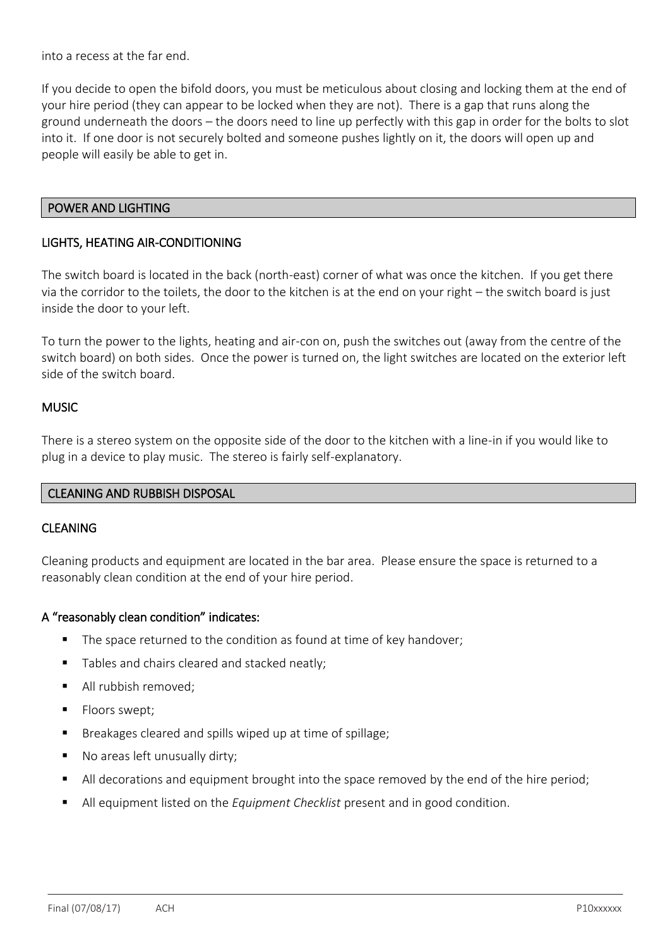into a recess at the far end.

If you decide to open the bifold doors, you must be meticulous about closing and locking them at the end of your hire period (they can appear to be locked when they are not). There is a gap that runs along the ground underneath the doors – the doors need to line up perfectly with this gap in order for the bolts to slot into it. If one door is not securely bolted and someone pushes lightly on it, the doors will open up and people will easily be able to get in.

#### POWER AND LIGHTING

#### LIGHTS, HEATING AIR-CONDITIONING

The switch board is located in the back (north-east) corner of what was once the kitchen. If you get there via the corridor to the toilets, the door to the kitchen is at the end on your right – the switch board is just inside the door to your left.

To turn the power to the lights, heating and air-con on, push the switches out (away from the centre of the switch board) on both sides. Once the power is turned on, the light switches are located on the exterior left side of the switch board.

#### **MUSIC**

There is a stereo system on the opposite side of the door to the kitchen with a line-in if you would like to plug in a device to play music. The stereo is fairly self-explanatory.

#### CLEANING AND RUBBISH DISPOSAL

#### **CLEANING**

Cleaning products and equipment are located in the bar area. Please ensure the space is returned to a reasonably clean condition at the end of your hire period.

#### A "reasonably clean condition" indicates:

- The space returned to the condition as found at time of key handover;
- Tables and chairs cleared and stacked neatly;
- All rubbish removed;
- **Floors swept;**
- Breakages cleared and spills wiped up at time of spillage;
- No areas left unusually dirty;
- All decorations and equipment brought into the space removed by the end of the hire period;
- All equipment listed on the *Equipment Checklist* present and in good condition.